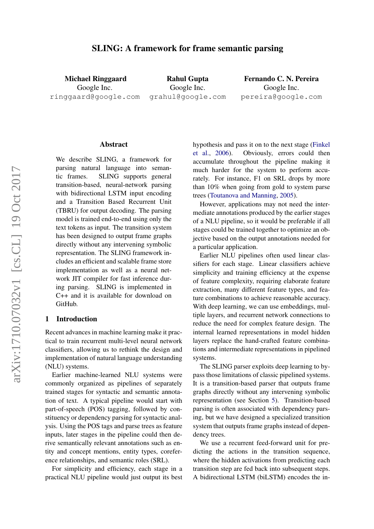## SLING: A framework for frame semantic parsing

Michael Ringgaard Google Inc. ringgaard@google.com

Rahul Gupta Google Inc. grahul@google.com

Fernando C. N. Pereira Google Inc. pereira@google.com

#### Abstract

We describe SLING, a framework for parsing natural language into semantic frames. SLING supports general transition-based, neural-network parsing with bidirectional LSTM input encoding and a Transition Based Recurrent Unit (TBRU) for output decoding. The parsing model is trained end-to-end using only the text tokens as input. The transition system has been designed to output frame graphs directly without any intervening symbolic representation. The SLING framework includes an efficient and scalable frame store implementation as well as a neural network JIT compiler for fast inference during parsing. SLING is implemented in C++ and it is available for download on GitHub.

#### 1 Introduction

Recent advances in machine learning make it practical to train recurrent multi-level neural network classifiers, allowing us to rethink the design and implementation of natural language understanding (NLU) systems.

Earlier machine-learned NLU systems were commonly organized as pipelines of separately trained stages for syntactic and semantic annotation of text. A typical pipeline would start with part-of-speech (POS) tagging, followed by constituency or dependency parsing for syntactic analysis. Using the POS tags and parse trees as feature inputs, later stages in the pipeline could then derive semantically relevant annotations such as entity and concept mentions, entity types, coreference relationships, and semantic roles (SRL).

For simplicity and efficiency, each stage in a practical NLU pipeline would just output its best

hypothesis and pass it on to the next stage [\(Finkel](#page-8-0) [et al.,](#page-8-0) [2006\)](#page-8-0). Obviously, errors could then accumulate throughout the pipeline making it much harder for the system to perform accurately. For instance, F1 on SRL drops by more than 10% when going from gold to system parse trees [\(Toutanova and Manning,](#page-8-1) [2005\)](#page-8-1).

However, applications may not need the intermediate annotations produced by the earlier stages of a NLU pipeline, so it would be preferable if all stages could be trained together to optimize an objective based on the output annotations needed for a particular application.

Earlier NLU pipelines often used linear classifiers for each stage. Linear classifiers achieve simplicity and training efficiency at the expense of feature complexity, requiring elaborate feature extraction, many different feature types, and feature combinations to achieve reasonable accuracy. With deep learning, we can use embeddings, multiple layers, and recurrent network connections to reduce the need for complex feature design. The internal learned representations in model hidden layers replace the hand-crafted feature combinations and intermediate representations in pipelined systems.

The SLING parser exploits deep learning to bypass those limitations of classic pipelined systems. It is a transition-based parser that outputs frame graphs directly without any intervening symbolic representation (see Section [5\)](#page-2-0). Transition-based parsing is often associated with dependency parsing, but we have designed a specialized transition system that outputs frame graphs instead of dependency trees.

We use a recurrent feed-forward unit for predicting the actions in the transition sequence, where the hidden activations from predicting each transition step are fed back into subsequent steps. A bidirectional LSTM (biLSTM) encodes the in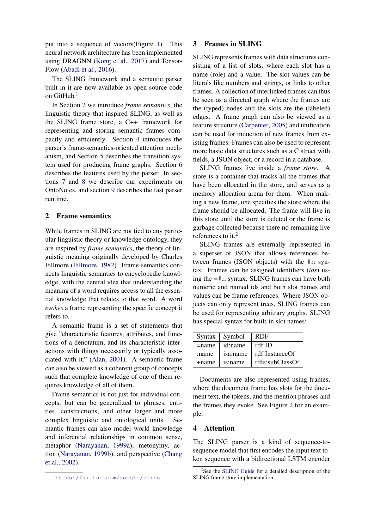put into a sequence of vectors(Figure [1\)](#page-2-1). This neural network architecture has been implemented using DRAGNN [\(Kong et al.,](#page-8-2) [2017\)](#page-8-2) and Tensor-Flow [\(Abadi et al.,](#page-8-3) [2016\)](#page-8-3).

The SLING framework and a semantic parser built in it are now available as open-source code on  $\rm{GitHub.}^1$  $\rm{GitHub.}^1$ 

In Section [2](#page-1-1) we introduce *frame semantics*, the linguistic theory that inspired SLING, as well as the SLING frame store, a C++ framework for representing and storing semantic frames compactly and efficiently. Section [4](#page-1-2) introduces the parser's frame-semantics-oriented attention mechanism, and Section [5](#page-2-0) describes the transition system used for producing frame graphs. Section [6](#page-4-0) describes the features used by the parser. In sections [7](#page-5-0) and [8](#page-5-1) we describe our experiments on OntoNotes, and section [9](#page-6-0) describes the fast parser runtime.

### <span id="page-1-1"></span>2 Frame semantics

While frames in SLING are not tied to any particular linguistic theory or knowledge ontology, they are inspired by *frame semantics*, the theory of linguistic meaning originally developed by Charles Fillmore [\(Fillmore,](#page-8-4) [1982\)](#page-8-4). Frame semantics connects linguistic semantics to encyclopedic knowledge, with the central idea that understanding the meaning of a word requires access to all the essential knowledge that relates to that word. A word *evokes* a frame representing the specific concept it refers to.

A semantic frame is a set of statements that give "characteristic features, attributes, and functions of a denotatum, and its characteristic interactions with things necessarily or typically associated with it." [\(Alan,](#page-8-5) [2001\)](#page-8-5). A semantic frame can also be viewed as a coherent group of concepts such that complete knowledge of one of them requires knowledge of all of them.

Frame semantics is not just for individual concepts, but can be generalized to phrases, entities, constructions, and other larger and more complex linguistic and ontological units. Semantic frames can also model world knowledge and inferential relationships in common sense, metaphor [\(Narayanan,](#page-8-6) [1999a\)](#page-8-6), metonymy, action [\(Narayanan,](#page-8-7) [1999b\)](#page-8-7), and perspective [\(Chang](#page-8-8) [et al.,](#page-8-8) [2002\)](#page-8-8).

#### 3 Frames in SLING

SLING represents frames with data structures consisting of a list of slots, where each slot has a name (role) and a value. The slot values can be literals like numbers and strings, or links to other frames. A collection of interlinked frames can thus be seen as a directed graph where the frames are the (typed) nodes and the slots are the (labeled) edges. A frame graph can also be viewed as a feature structure [\(Carpenter,](#page-8-9) [2005\)](#page-8-9) and unification can be used for induction of new frames from existing frames. Frames can also be used to represent more basic data structures such as a C struct with fields, a JSON object, or a record in a database.

SLING frames live inside a *frame store*. A store is a container that tracks all the frames that have been allocated in the store, and serves as a memory allocation arena for them. When making a new frame, one specifies the store where the frame should be allocated. The frame will live in this store until the store is deleted or the frame is garbage collected because there no remaining live references to it.<sup>[2](#page-1-3)</sup>

SLING frames are externally represented in a superset of JSON that allows references between frames (JSON objects) with the #n syntax. Frames can be assigned identifiers (*ids*) using the  $=\text{\text{#n}}$  syntax. SLING frames can have both numeric and named ids and both slot names and values can be frame references. Where JSON objects can only represent trees, SLING frames can be used for representing arbitrary graphs. SLING has special syntax for built-in slot names:

| Syntax   | Symbol   | <b>RDF</b>      |
|----------|----------|-----------------|
| $=$ name | id:name  | rdf:ID          |
| :name    | isa:name | rdf:InstanceOf  |
| +name    | 1s:name  | rdfs:subClassOf |

Documents are also represented using frames, where the document frame has slots for the document text, the tokens, and the mention phrases and the frames they evoke. See Figure [2](#page-3-0) for an example.

### <span id="page-1-2"></span>4 Attention

The SLING parser is a kind of sequence-tosequence model that first encodes the input text token sequence with a bidirectional LSTM encoder

<span id="page-1-0"></span><sup>1</sup><https://github.com/google/sling>

<span id="page-1-3"></span><sup>&</sup>lt;sup>2</sup>See the [SLING Guide](https://github.com/google/sling/blob/master/frame/README.md) for a detailed description of the SLING frame store implementation.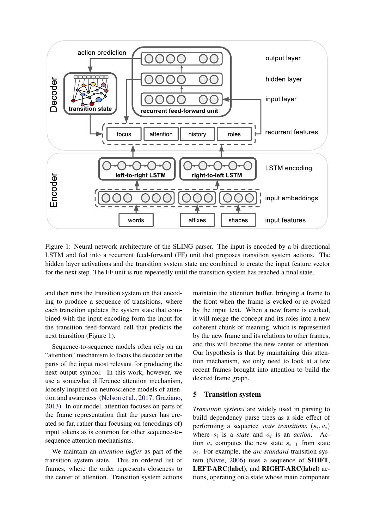

Figure 1: Neural network architecture of the SLING parser. The input is encoded by a bi-directional LSTM and fed into a recurrent feed-forward (FF) unit that proposes transition system actions. The hidden layer activations and the transition system state are combined to create the input feature vector for the next step. The FF unit is run repeatedly until the transition system has reached a final state.

and then runs the transition system on that encoding to produce a sequence of transitions, where each transition updates the system state that combined with the input encoding form the input for the transition feed-forward cell that predicts the next transition (Figure [1\)](#page-2-1).

Sequence-to-sequence models often rely on an "attention" mechanism to focus the decoder on the parts of the input most relevant for producing the next output symbol. In this work, however, we use a somewhat difference attention mechanism, loosely inspired on neuroscience models of attention and awareness [\(Nelson et al.,](#page-8-10) [2017;](#page-8-10) [Graziano,](#page-8-11) [2013\)](#page-8-11). In our model, attention focuses on parts of the frame representation that the parser has created so far, rather than focusing on (encodings of) input tokens as is common for other sequence-tosequence attention mechanisms.

We maintain an *attention buffer* as part of the transition system state. This an ordered list of frames, where the order represents closeness to the center of attention. Transition system actions <span id="page-2-1"></span>maintain the attention buffer, bringing a frame to the front when the frame is evoked or re-evoked by the input text. When a new frame is evoked, it will merge the concept and its roles into a new coherent chunk of meaning, which is represented by the new frame and its relations to other frames, and this will become the new center of attention. Our hypothesis is that by maintaining this attention mechanism, we only need to look at a few recent frames brought into attention to build the desired frame graph.

### <span id="page-2-0"></span>5 Transition system

*Transition systems* are widely used in parsing to build dependency parse trees as a side effect of performing a sequence *state transitions*  $(s_i, a_i)$ where  $s_i$  is a *state* and  $a_i$  is an *action*. Action  $a_i$  computes the new state  $s_{i+1}$  from state  $s_i$ . For example, the *arc-standard* transition system [\(Nivre,](#page-8-12) [2006\)](#page-8-12) uses a sequence of SHIFT, LEFT-ARC(label), and RIGHT-ARC(label) actions, operating on a state whose main component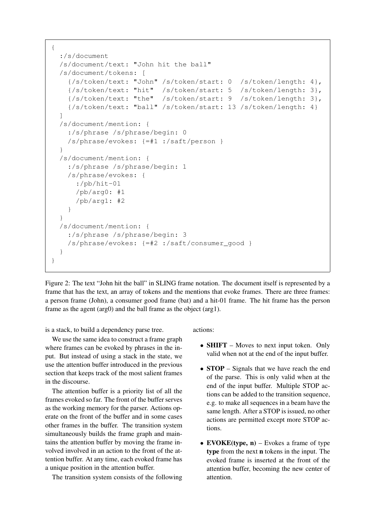```
{
  :/s/document
  /s/document/text: "John hit the ball"
  /s/document/tokens: [
    {/s/token/text: "John" /s/token/start: 0 /s/token/length: 4},
    {/s/token/text: "hit" /s/token/start: 5 /s/token/length: 3},
    {/s/token/text: "the" /s/token/start: 9 /s/token/length: 3},
    {/s/token/text: "ball" /s/token/start: 13 /s/token/length: 4}
  ]
  /s/document/mention: {
    :/s/phrase /s/phrase/begin: 0
    /s/phrase/evokes: {=#1 :/saft/person }
  }
  /s/document/mention: {
    :/s/phrase /s/phrase/begin: 1
    /s/phrase/evokes: {
      :/pb/hit-01
      /pb/arg0: #1
      /pb/arg1: #2
    }
  }
  /s/document/mention: {
    :/s/phrase /s/phrase/begin: 3
    /s/phrase/evokes: {=#2 :/saft/consumer_good }
  }
}
```
<span id="page-3-0"></span>Figure 2: The text "John hit the ball" in SLING frame notation. The document itself is represented by a frame that has the text, an array of tokens and the mentions that evoke frames. There are three frames: a person frame (John), a consumer good frame (bat) and a hit-01 frame. The hit frame has the person frame as the agent (arg0) and the ball frame as the object (arg1).

is a stack, to build a dependency parse tree.

We use the same idea to construct a frame graph where frames can be evoked by phrases in the input. But instead of using a stack in the state, we use the attention buffer introduced in the previous section that keeps track of the most salient frames in the discourse.

The attention buffer is a priority list of all the frames evoked so far. The front of the buffer serves as the working memory for the parser. Actions operate on the front of the buffer and in some cases other frames in the buffer. The transition system simultaneously builds the frame graph and maintains the attention buffer by moving the frame involved involved in an action to the front of the attention buffer. At any time, each evoked frame has a unique position in the attention buffer.

The transition system consists of the following

actions:

- **SHIFT** Moves to next input token. Only valid when not at the end of the input buffer.
- **STOP** Signals that we have reach the end of the parse. This is only valid when at the end of the input buffer. Multiple STOP actions can be added to the transition sequence, e.g. to make all sequences in a beam have the same length. After a STOP is issued, no other actions are permitted except more STOP actions.
- EVOKE(type,  $n$ ) Evokes a frame of type type from the next n tokens in the input. The evoked frame is inserted at the front of the attention buffer, becoming the new center of attention.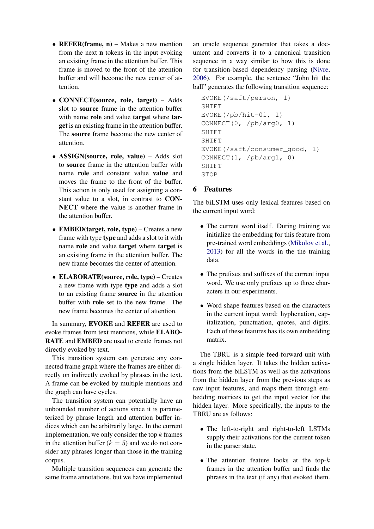- REFER(frame,  $n$ ) Makes a new mention from the next n tokens in the input evoking an existing frame in the attention buffer. This frame is moved to the front of the attention buffer and will become the new center of attention.
- CONNECT(source, role, target) Adds slot to source frame in the attention buffer with name role and value target where target is an existing frame in the attention buffer. The source frame become the new center of attention.
- ASSIGN(source, role, value) Adds slot to source frame in the attention buffer with name role and constant value value and moves the frame to the front of the buffer. This action is only used for assigning a constant value to a slot, in contrast to CON-NECT where the value is another frame in the attention buffer.
- EMBED(target, role, type) Creates a new frame with type type and adds a slot to it with name role and value target where target is an existing frame in the attention buffer. The new frame becomes the center of attention.
- ELABORATE(source, role, type) Creates a new frame with type type and adds a slot to an existing frame source in the attention buffer with role set to the new frame. The new frame becomes the center of attention.

In summary, EVOKE and REFER are used to evoke frames from text mentions, while ELABO-RATE and EMBED are used to create frames not directly evoked by text.

This transition system can generate any connected frame graph where the frames are either directly on indirectly evoked by phrases in the text. A frame can be evoked by multiple mentions and the graph can have cycles.

The transition system can potentially have an unbounded number of actions since it is parameterized by phrase length and attention buffer indices which can be arbitrarily large. In the current implementation, we only consider the top  $k$  frames in the attention buffer  $(k = 5)$  and we do not consider any phrases longer than those in the training corpus.

Multiple transition sequences can generate the same frame annotations, but we have implemented

an oracle sequence generator that takes a document and converts it to a canonical transition sequence in a way similar to how this is done for transition-based dependency parsing [\(Nivre,](#page-8-12) [2006\)](#page-8-12). For example, the sentence "John hit the ball" generates the following transition sequence:

```
EVOKE(/saft/person, 1)
SHIFT
EVOKE\left(\frac{\rho b}{\text{hit}}-01, 1\right)CONNECT(0, /pb/arg0, 1)
SHIFT
SHIFT
EVOKE(/saft/consumer_good, 1)
CONNECT(1, /pb/arg1, 0)
SHIFT
STOP
```
## <span id="page-4-0"></span>6 Features

The biLSTM uses only lexical features based on the current input word:

- The current word itself. During training we initialize the embedding for this feature from pre-trained word embeddings [\(Mikolov et al.,](#page-8-13) [2013\)](#page-8-13) for all the words in the the training data.
- The prefixes and suffixes of the current input word. We use only prefixes up to three characters in our experiments.
- Word shape features based on the characters in the current input word: hyphenation, capitalization, punctuation, quotes, and digits. Each of these features has its own embedding matrix.

The TBRU is a simple feed-forward unit with a single hidden layer. It takes the hidden activations from the biLSTM as well as the activations from the hidden layer from the previous steps as raw input features, and maps them through embedding matrices to get the input vector for the hidden layer. More specifically, the inputs to the TBRU are as follows:

- The left-to-right and right-to-left LSTMs supply their activations for the current token in the parser state.
- The attention feature looks at the top- $k$ frames in the attention buffer and finds the phrases in the text (if any) that evoked them.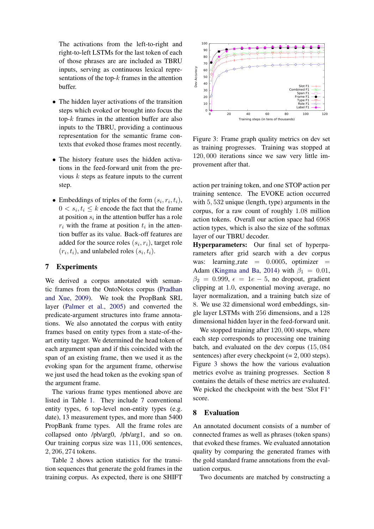The activations from the left-to-right and right-to-left LSTMs for the last token of each of those phrases are are included as TBRU inputs, serving as continuous lexical representations of the top- $k$  frames in the attention buffer.

- The hidden layer activations of the transition steps which evoked or brought into focus the top-k frames in the attention buffer are also inputs to the TBRU, providing a continuous representation for the semantic frame contexts that evoked those frames most recently.
- The history feature uses the hidden activations in the feed-forward unit from the previous  $k$  steps as feature inputs to the current step.
- Embeddings of triples of the form  $(s_i, r_i, t_i)$ ,  $0 < s_i, t_i \leq k$  encode the fact that the frame at position  $s_i$  in the attention buffer has a role  $r_i$  with the frame at position  $t_i$  in the attention buffer as its value. Back-off features are added for the source roles  $(s_i, r_i)$ , target role  $(r_i, t_i)$ , and unlabeled roles  $(s_i, t_i)$ .

# <span id="page-5-0"></span>7 Experiments

We derived a corpus annotated with semantic frames from the OntoNotes corpus [\(Pradhan](#page-8-14) [and Xue,](#page-8-14) [2009\)](#page-8-14). We took the PropBank SRL layer [\(Palmer et al.,](#page-8-15) [2005\)](#page-8-15) and converted the predicate-argument structures into frame annotations. We also annotated the corpus with entity frames based on entity types from a state-of-theart entity tagger. We determined the head token of each argument span and if this coincided with the span of an existing frame, then we used it as the evoking span for the argument frame, otherwise we just used the head token as the evoking span of the argument frame.

The various frame types mentioned above are listed in Table [1.](#page-6-1) They include 7 conventional entity types, 6 top-level non-entity types (e.g. date), 13 measurement types, and more than 5400 PropBank frame types. All the frame roles are collapsed onto /pb/arg0, /pb/arg1, and so on. Our training corpus size was 111, 006 sentences, 2, 206, 274 tokens.

Table [2](#page-6-2) shows action statistics for the transition sequences that generate the gold frames in the training corpus. As expected, there is one SHIFT



<span id="page-5-2"></span>Figure 3: Frame graph quality metrics on dev set as training progresses. Training was stopped at 120, 000 iterations since we saw very little improvement after that.

action per training token, and one STOP action per training sentence. The EVOKE action occurred with 5, 532 unique (length, type) arguments in the corpus, for a raw count of roughly 1.08 million action tokens. Overall our action space had 6968 action types, which is also the size of the softmax layer of our TBRU decoder.

Hyperparameters: Our final set of hyperparameters after grid search with a dev corpus was: learning rate  $= 0.0005$ , optimizer  $=$ Adam [\(Kingma and Ba,](#page-8-16) [2014\)](#page-8-16) with  $\beta_1 = 0.01$ ,  $\beta_2 = 0.999$ ,  $\epsilon = 1e - 5$ , no dropout, gradient clipping at 1.0, exponential moving average, no layer normalization, and a training batch size of 8. We use 32 dimensional word embeddings, single layer LSTMs with 256 dimensions, and a 128 dimensional hidden layer in the feed-forward unit.

We stopped training after 120, 000 steps, where each step corresponds to processing one training batch, and evaluated on the dev corpus (15, 084 sentences) after every checkpoint  $(= 2, 000$  steps). Figure [3](#page-5-2) shows the how the various evaluation metrics evolve as training progresses. Section [8](#page-5-1) contains the details of these metrics are evaluated. We picked the checkpoint with the best 'Slot F1' score.

### <span id="page-5-1"></span>8 Evaluation

An annotated document consists of a number of connected frames as well as phrases (token spans) that evoked these frames. We evaluated annotation quality by comparing the generated frames with the gold standard frame annotations from the evaluation corpus.

Two documents are matched by constructing a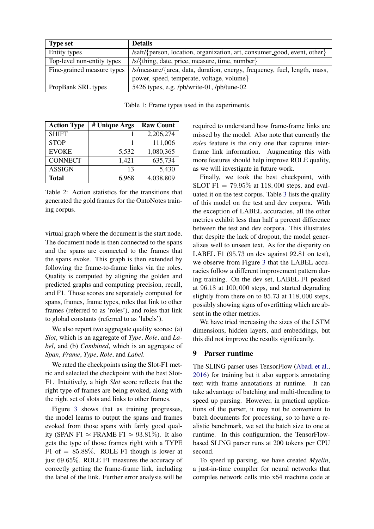| <b>Type set</b>            | <b>Details</b>                                                                            |
|----------------------------|-------------------------------------------------------------------------------------------|
| Entity types               | /saft/{person, location, organization, art, consumer_good, event, other}                  |
| Top-level non-entity types | /s/{thing, date, price, measure, time, number}                                            |
| Fine-grained measure types | /s/measure/{area, data, duration, energy, frequency, fuel, length, mass,                  |
|                            | power, speed, temperate, voltage, volume}                                                 |
| PropBank SRL types         | 5426 types, e.g. $\frac{\text{pb}}{\text{write}-01}$ , $\frac{\text{pb}}{\text{time}-02}$ |

Table 1: Frame types used in the experiments.

<span id="page-6-1"></span>

| <b>Action Type</b> | # Unique Args | <b>Raw Count</b> |
|--------------------|---------------|------------------|
| <b>SHIFT</b>       |               | 2,206,274        |
| <b>STOP</b>        |               | 111,006          |
| <b>EVOKE</b>       | 5,532         | 1,080,365        |
| <b>CONNECT</b>     | 1,421         | 635,734          |
| <b>ASSIGN</b>      | 13            | 5,430            |
| <b>Total</b>       | 6,968         | 4,038,809        |

Table 2: Action statistics for the transitions that generated the gold frames for the OntoNotes training corpus.

virtual graph where the document is the start node. The document node is then connected to the spans and the spans are connected to the frames that the spans evoke. This graph is then extended by following the frame-to-frame links via the roles. Quality is computed by aligning the golden and predicted graphs and computing precision, recall, and F1. Those scores are separately computed for spans, frames, frame types, roles that link to other frames (referred to as 'roles'), and roles that link to global constants (referred to as 'labels').

We also report two aggregate quality scores: (a) *Slot*, which is an aggregate of *Type*, *Role*, and *Label*, and (b) *Combined*, which is an aggregate of *Span*, *Frame*, *Type*, *Role*, and *Label*.

We rated the checkpoints using the Slot-F1 metric and selected the checkpoint with the best Slot-F1. Intuitively, a high *Slot* score reflects that the right type of frames are being evoked, along with the right set of slots and links to other frames.

Figure [3](#page-5-2) shows that as training progresses, the model learns to output the spans and frames evoked from those spans with fairly good quality (SPAN F1  $\approx$  FRAME F1  $\approx$  93.81%). It also gets the type of those frames right with a TYPE F1 of  $= 85.88\%$ . ROLE F1 though is lower at just 69.65%. ROLE F1 measures the accuracy of correctly getting the frame-frame link, including the label of the link. Further error analysis will be <span id="page-6-2"></span>required to understand how frame-frame links are missed by the model. Also note that currently the *roles* feature is the only one that captures interframe link information. Augmenting this with more features should help improve ROLE quality, as we will investigate in future work.

Finally, we took the best checkpoint, with SLOT F1 =  $79.95\%$  at 118,000 steps, and evaluated it on the test corpus. Table [3](#page-7-0) lists the quality of this model on the test and dev corpora. With the exception of LABEL accuracies, all the other metrics exhibit less than half a percent difference between the test and dev corpora. This illustrates that despite the lack of dropout, the model generalizes well to unseen text. As for the disparity on LABEL F1 (95.73 on dev against 92.81 on test), we observe from Figure [3](#page-5-2) that the LABEL accuracies follow a different improvement pattern during training. On the dev set, LABEL F1 peaked at 96.18 at 100, 000 steps, and started degrading slightly from there on to 95.73 at 118, 000 steps, possibly showing signs of overfitting which are absent in the other metrics.

We have tried increasing the sizes of the LSTM dimensions, hidden layers, and embeddings, but this did not improve the results significantly.

### <span id="page-6-0"></span>9 Parser runtime

The SLING parser uses TensorFlow [\(Abadi et al.,](#page-8-3) [2016\)](#page-8-3) for training but it also supports annotating text with frame annotations at runtime. It can take advantage of batching and multi-threading to speed up parsing. However, in practical applications of the parser, it may not be convenient to batch documents for processing, so to have a realistic benchmark, we set the batch size to one at runtime. In this configuration, the TensorFlowbased SLING parser runs at 200 tokens per CPU second.

To speed up parsing, we have created *Myelin*, a just-in-time compiler for neural networks that compiles network cells into x64 machine code at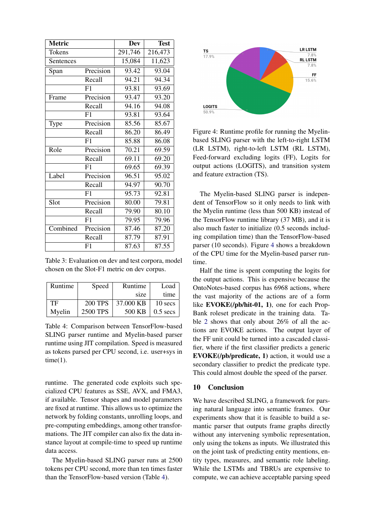| <b>Metric</b> |           | <b>Dev</b> | <b>Test</b> |
|---------------|-----------|------------|-------------|
| Tokens        |           | 291,746    | 216,473     |
| Sentences     |           | 15,084     | 11,623      |
| Span          | Precision | 93.42      | 93.04       |
|               | Recall    | 94.21      | 94.34       |
|               | F1        | 93.81      | 93.69       |
| Frame         | Precision | 93.47      | 93.20       |
|               | Recall    | 94.16      | 94.08       |
|               | F1        | 93.81      | 93.64       |
| Type          | Precision | 85.56      | 85.67       |
|               | Recall    | 86.20      | 86.49       |
|               | F1        | 85.88      | 86.08       |
| Role          | Precision | 70.21      | 69.59       |
|               | Recall    | 69.11      | 69.20       |
|               | F1        | 69.65      | 69.39       |
| Label         | Precision | 96.51      | 95.02       |
|               | Recall    | 94.97      | 90.70       |
|               | F1        | 95.73      | 92.81       |
| Slot          | Precision | 80.00      | 79.81       |
|               | Recall    | 79.90      | 80.10       |
|               | F1        | 79.95      | 79.96       |
| Combined      | Precision | 87.46      | 87.20       |
|               | Recall    | 87.79      | 87.91       |
|               | F1        | 87.63      | 87.55       |

Table 3: Evaluation on dev and test corpora, model chosen on the Slot-F1 metric on dev corpus.

| Runtime | Speed    | Runtime   | Load       |
|---------|----------|-----------|------------|
|         |          | size      | time       |
| TF      | 200 TPS  | 37.000 KB | 10 secs    |
| Myelin  | 2500 TPS | 500 KB    | $0.5$ secs |

Table 4: Comparison between TensorFlow-based SLING parser runtime and Myelin-based parser runtime using JIT compilation. Speed is measured as tokens parsed per CPU second, i.e. user+sys in  $time(1)$ .

runtime. The generated code exploits such specialized CPU features as SSE, AVX, and FMA3, if available. Tensor shapes and model parameters are fixed at runtime. This allows us to optimize the network by folding constants, unrolling loops, and pre-computing embeddings, among other transformations. The JIT compiler can also fix the data instance layout at compile-time to speed up runtime data access.

The Myelin-based SLING parser runs at 2500 tokens per CPU second, more than ten times faster than the TensorFlow-based version (Table [4\)](#page-7-1).



<span id="page-7-2"></span><span id="page-7-0"></span>Figure 4: Runtime profile for running the Myelinbased SLING parser with the left-to-right LSTM (LR LSTM), right-to-left LSTM (RL LSTM), Feed-forward excluding logits (FF), Logits for output actions (LOGITS), and transition system and feature extraction (TS).

The Myelin-based SLING parser is independent of TensorFlow so it only needs to link with the Myelin runtime (less than 500 KB) instead of the TensorFlow runtime library (37 MB), and it is also much faster to initialize (0.5 seconds including compilation time) than the TensorFlow-based parser (10 seconds). Figure [4](#page-7-2) shows a breakdown of the CPU time for the Myelin-based parser runtime.

<span id="page-7-1"></span>Half the time is spent computing the logits for the output actions. This is expensive because the OntoNotes-based corpus has 6968 actions, where the vast majority of the actions are of a form like EVOKE(/pb/hit-01, 1), one for each Prop-Bank roleset predicate in the training data. Table [2](#page-6-2) shows that only about 26% of all the actions are EVOKE actions. The output layer of the FF unit could be turned into a cascaded classifier, where if the first classifier predicts a generic EVOKE(/pb/predicate, 1) action, it would use a secondary classifier to predict the predicate type. This could almost double the speed of the parser.

### 10 Conclusion

We have described SLING, a framework for parsing natural language into semantic frames. Our experiments show that it is feasible to build a semantic parser that outputs frame graphs directly without any intervening symbolic representation, only using the tokens as inputs. We illustrated this on the joint task of predicting entity mentions, entity types, measures, and semantic role labeling. While the LSTMs and TBRUs are expensive to compute, we can achieve acceptable parsing speed